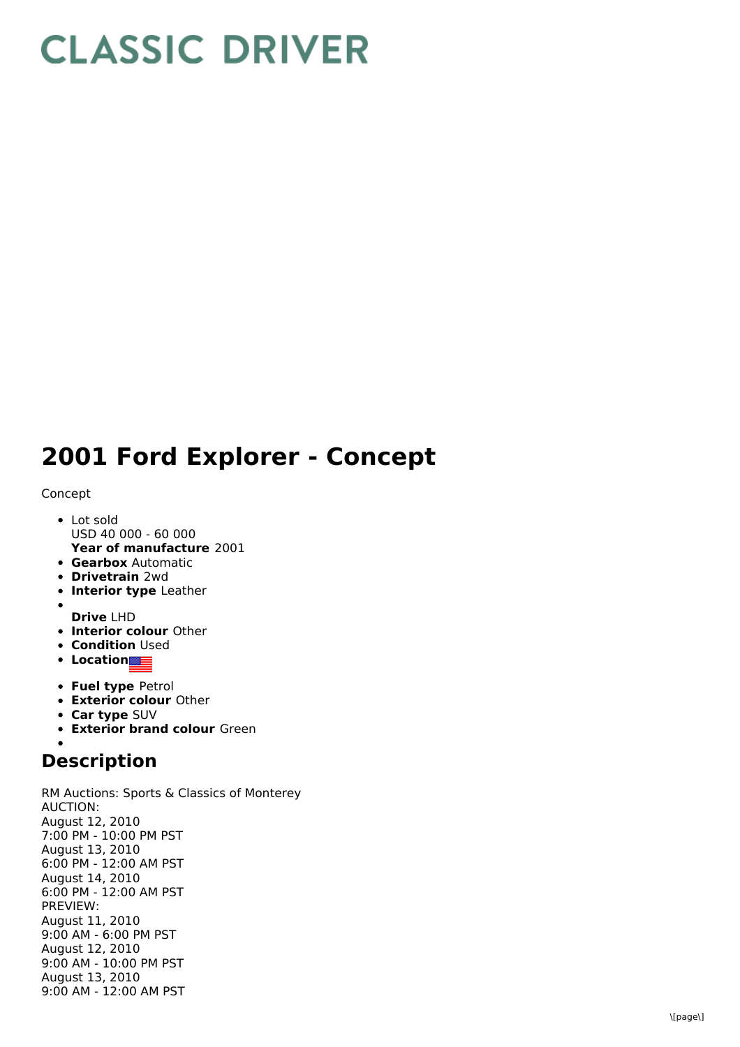## **CLASSIC DRIVER**

## 2001 Ford Explorer - Concept

## Concept

- L o t s old USD 40 000 - 60 000
- **Year of manufacture** 2001 **Gearbox** Automatic
- **Drivetrain** 2wd
- **Interior type** Leather
- 
- **D r i v e** L H D
- **Interior colour** Other
- **Condition** Used
- **L o c a t i o n**
- **Fuel type Petrol**
- **Exterior colour Other**
- **Car type** SUV
- **Exterior brand colour** Green

## **Description**

RM Auctions: Sports & Classics of Monterey A U C TIO N: August 12, 2 0 1 0 7:00 PM - 10:00 PM PST August 13, 2010 6:00 PM - 12:00 AM PST August 14, 2010 6:00 PM - 12:00 AM PST P R E VIE W: August 11, 2 0 1 0 9:00 AM - 6:00 PM PST August 12, 2010 9:00 AM - 10:00 PM PST August 13, 2010 9:00 AM - 12:00 AM PST